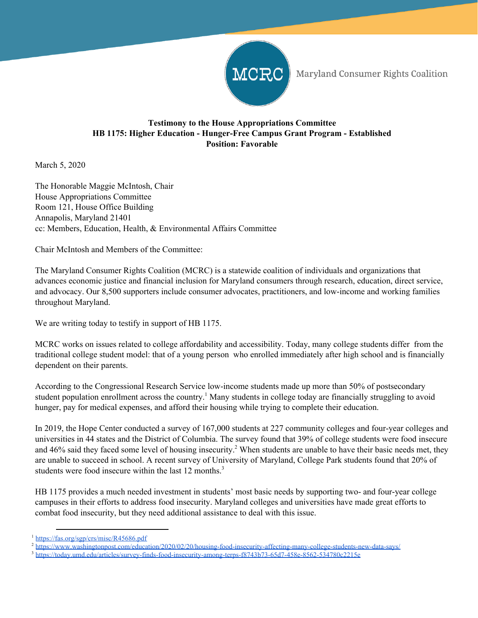

Maryland Consumer Rights Coalition

## **Testimony to the House Appropriations Committee HB 1175: Higher Education - Hunger-Free Campus Grant Program - Established Position: Favorable**

March 5, 2020

The Honorable Maggie McIntosh, Chair House Appropriations Committee Room 121, House Office Building Annapolis, Maryland 21401 cc: Members, Education, Health, & Environmental Affairs Committee

Chair McIntosh and Members of the Committee:

The Maryland Consumer Rights Coalition (MCRC) is a statewide coalition of individuals and organizations that advances economic justice and financial inclusion for Maryland consumers through research, education, direct service, and advocacy. Our 8,500 supporters include consumer advocates, practitioners, and low-income and working families throughout Maryland.

We are writing today to testify in support of HB 1175.

MCRC works on issues related to college affordability and accessibility. Today, many college students differ from the traditional college student model: that of a young person who enrolled immediately after high school and is financially dependent on their parents.

According to the Congressional Research Service low-income students made up more than 50% of postsecondary student population enrollment across the country.<sup>1</sup> Many students in college today are financially struggling to avoid hunger, pay for medical expenses, and afford their housing while trying to complete their education.

In 2019, the Hope Center conducted a survey of 167,000 students at 227 community colleges and four-year colleges and universities in 44 states and the District of Columbia. The survey found that 39% of college students were food insecure and 46% said they faced some level of housing insecurity.<sup>2</sup> When students are unable to have their basic needs met, they are unable to succeed in school. A recent survey of University of Maryland, College Park students found that 20% of students were food insecure within the last 12 months.<sup>3</sup>

HB 1175 provides a much needed investment in students' most basic needs by supporting two- and four-year college campuses in their efforts to address food insecurity. Maryland colleges and universities have made great efforts to combat food insecurity, but they need additional assistance to deal with this issue.

<sup>1</sup> <https://fas.org/sgp/crs/misc/R45686.pdf>

<sup>&</sup>lt;sup>2</sup> <https://www.washingtonpost.com/education/2020/02/20/housing-food-insecurity-affecting-many-college-students-new-data-says/>

<sup>&</sup>lt;sup>3</sup> <https://today.umd.edu/articles/survey-finds-food-insecurity-among-terps-f8743b73-65d7-458e-8562-534780c2215e>